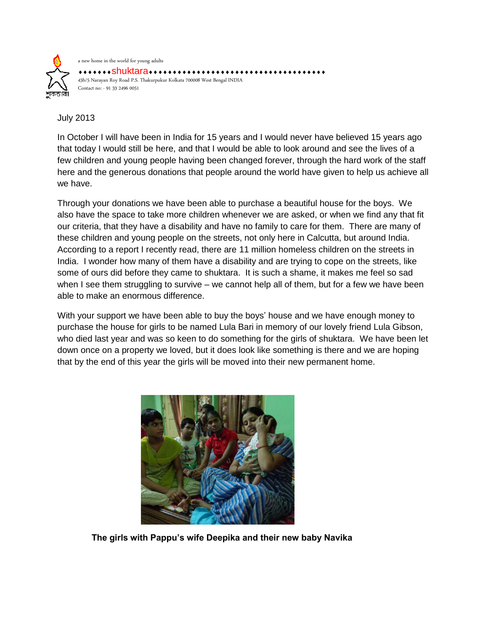

July 2013

In October I will have been in India for 15 years and I would never have believed 15 years ago that today I would still be here, and that I would be able to look around and see the lives of a few children and young people having been changed forever, through the hard work of the staff here and the generous donations that people around the world have given to help us achieve all we have.

Through your donations we have been able to purchase a beautiful house for the boys. We also have the space to take more children whenever we are asked, or when we find any that fit our criteria, that they have a disability and have no family to care for them. There are many of these children and young people on the streets, not only here in Calcutta, but around India. According to a report I recently read, there are 11 million homeless children on the streets in India. I wonder how many of them have a disability and are trying to cope on the streets, like some of ours did before they came to shuktara. It is such a shame, it makes me feel so sad when I see them struggling to survive – we cannot help all of them, but for a few we have been able to make an enormous difference.

With your support we have been able to buy the boys' house and we have enough money to purchase the house for girls to be named Lula Bari in memory of our lovely friend Lula Gibson, who died last year and was so keen to do something for the girls of shuktara. We have been let down once on a property we loved, but it does look like something is there and we are hoping that by the end of this year the girls will be moved into their new permanent home.



**The girls with Pappu's wife Deepika and their new baby Navika**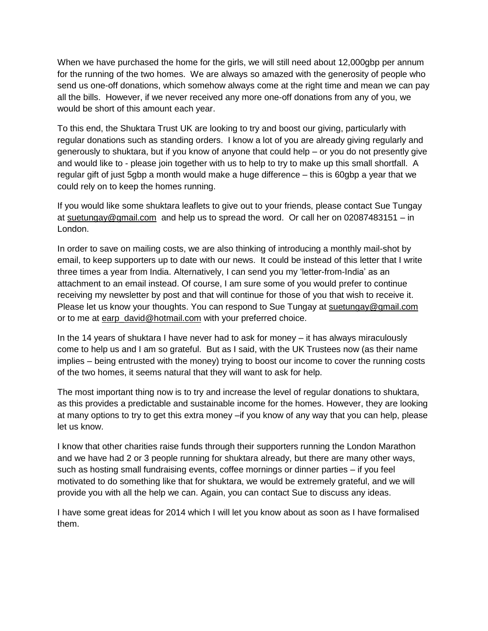When we have purchased the home for the girls, we will still need about 12,000gbp per annum for the running of the two homes. We are always so amazed with the generosity of people who send us one-off donations, which somehow always come at the right time and mean we can pay all the bills. However, if we never received any more one-off donations from any of you, we would be short of this amount each year.

To this end, the Shuktara Trust UK are looking to try and boost our giving, particularly with regular donations such as standing orders. I know a lot of you are already giving regularly and generously to shuktara, but if you know of anyone that could help – or you do not presently give and would like to - please join together with us to help to try to make up this small shortfall. A regular gift of just 5gbp a month would make a huge difference – this is 60gbp a year that we could rely on to keep the homes running.

If you would like some shuktara leaflets to give out to your friends, please contact Sue Tungay at [suetungay@gmail.com](mailto:suetungay@gmail.com) and help us to spread the word. Or call her on 02087483151 – in London.

In order to save on mailing costs, we are also thinking of introducing a monthly mail-shot by email, to keep supporters up to date with our news. It could be instead of this letter that I write three times a year from India. Alternatively, I can send you my 'letter-from-India' as an attachment to an email instead. Of course, I am sure some of you would prefer to continue receiving my newsletter by post and that will continue for those of you that wish to receive it. Please let us know your thoughts. You can respond to Sue Tungay at suetungay@gmail.com or to me at [earp\\_david@hotmail.com](mailto:earp_david@hotmail.com) with your preferred choice.

In the 14 years of shuktara I have never had to ask for money – it has always miraculously come to help us and I am so grateful. But as I said, with the UK Trustees now (as their name implies – being entrusted with the money) trying to boost our income to cover the running costs of the two homes, it seems natural that they will want to ask for help.

The most important thing now is to try and increase the level of regular donations to shuktara, as this provides a predictable and sustainable income for the homes. However, they are looking at many options to try to get this extra money –if you know of any way that you can help, please let us know.

I know that other charities raise funds through their supporters running the London Marathon and we have had 2 or 3 people running for shuktara already, but there are many other ways, such as hosting small fundraising events, coffee mornings or dinner parties – if you feel motivated to do something like that for shuktara, we would be extremely grateful, and we will provide you with all the help we can. Again, you can contact Sue to discuss any ideas.

I have some great ideas for 2014 which I will let you know about as soon as I have formalised them.